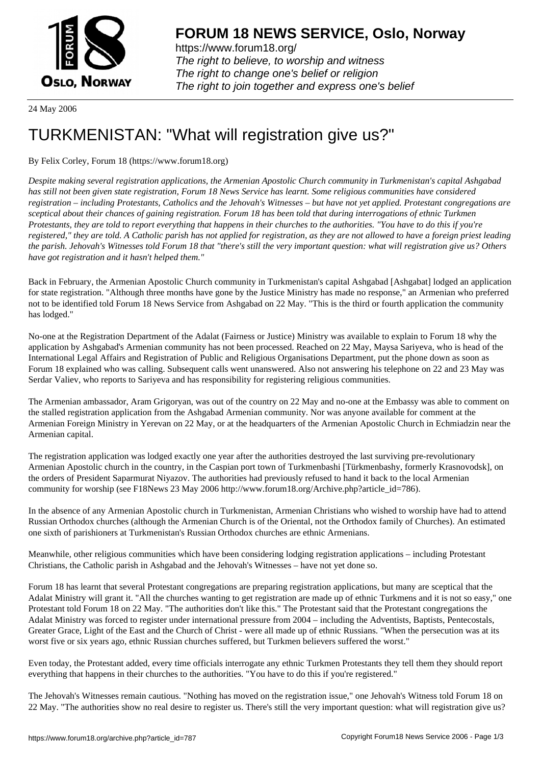

https://www.forum18.org/ The right to believe, to worship and witness The right to change one's belief or religion [The right to join together a](https://www.forum18.org/)nd express one's belief

24 May 2006

## [TURKMENISTA](https://www.forum18.org)N: "What will registration give us?"

By Felix Corley, Forum 18 (https://www.forum18.org)

*Despite making several registration applications, the Armenian Apostolic Church community in Turkmenistan's capital Ashgabad has still not been given state registration, Forum 18 News Service has learnt. Some religious communities have considered registration – including Protestants, Catholics and the Jehovah's Witnesses – but have not yet applied. Protestant congregations are sceptical about their chances of gaining registration. Forum 18 has been told that during interrogations of ethnic Turkmen Protestants, they are told to report everything that happens in their churches to the authorities. "You have to do this if you're registered," they are told. A Catholic parish has not applied for registration, as they are not allowed to have a foreign priest leading the parish. Jehovah's Witnesses told Forum 18 that "there's still the very important question: what will registration give us? Others have got registration and it hasn't helped them."*

Back in February, the Armenian Apostolic Church community in Turkmenistan's capital Ashgabad [Ashgabat] lodged an application for state registration. "Although three months have gone by the Justice Ministry has made no response," an Armenian who preferred not to be identified told Forum 18 News Service from Ashgabad on 22 May. "This is the third or fourth application the community has lodged."

No-one at the Registration Department of the Adalat (Fairness or Justice) Ministry was available to explain to Forum 18 why the application by Ashgabad's Armenian community has not been processed. Reached on 22 May, Maysa Sariyeva, who is head of the International Legal Affairs and Registration of Public and Religious Organisations Department, put the phone down as soon as Forum 18 explained who was calling. Subsequent calls went unanswered. Also not answering his telephone on 22 and 23 May was Serdar Valiev, who reports to Sariyeva and has responsibility for registering religious communities.

The Armenian ambassador, Aram Grigoryan, was out of the country on 22 May and no-one at the Embassy was able to comment on the stalled registration application from the Ashgabad Armenian community. Nor was anyone available for comment at the Armenian Foreign Ministry in Yerevan on 22 May, or at the headquarters of the Armenian Apostolic Church in Echmiadzin near the Armenian capital.

The registration application was lodged exactly one year after the authorities destroyed the last surviving pre-revolutionary Armenian Apostolic church in the country, in the Caspian port town of Turkmenbashi [Türkmenbashy, formerly Krasnovodsk], on the orders of President Saparmurat Niyazov. The authorities had previously refused to hand it back to the local Armenian community for worship (see F18News 23 May 2006 http://www.forum18.org/Archive.php?article\_id=786).

In the absence of any Armenian Apostolic church in Turkmenistan, Armenian Christians who wished to worship have had to attend Russian Orthodox churches (although the Armenian Church is of the Oriental, not the Orthodox family of Churches). An estimated one sixth of parishioners at Turkmenistan's Russian Orthodox churches are ethnic Armenians.

Meanwhile, other religious communities which have been considering lodging registration applications – including Protestant Christians, the Catholic parish in Ashgabad and the Jehovah's Witnesses – have not yet done so.

Forum 18 has learnt that several Protestant congregations are preparing registration applications, but many are sceptical that the Adalat Ministry will grant it. "All the churches wanting to get registration are made up of ethnic Turkmens and it is not so easy," one Protestant told Forum 18 on 22 May. "The authorities don't like this." The Protestant said that the Protestant congregations the Adalat Ministry was forced to register under international pressure from 2004 – including the Adventists, Baptists, Pentecostals, Greater Grace, Light of the East and the Church of Christ - were all made up of ethnic Russians. "When the persecution was at its worst five or six years ago, ethnic Russian churches suffered, but Turkmen believers suffered the worst."

Even today, the Protestant added, every time officials interrogate any ethnic Turkmen Protestants they tell them they should report everything that happens in their churches to the authorities. "You have to do this if you're registered."

The Jehovah's Witnesses remain cautious. "Nothing has moved on the registration issue," one Jehovah's Witness told Forum 18 on 22 May. "The authorities show no real desire to register us. There's still the very important question: what will registration give us?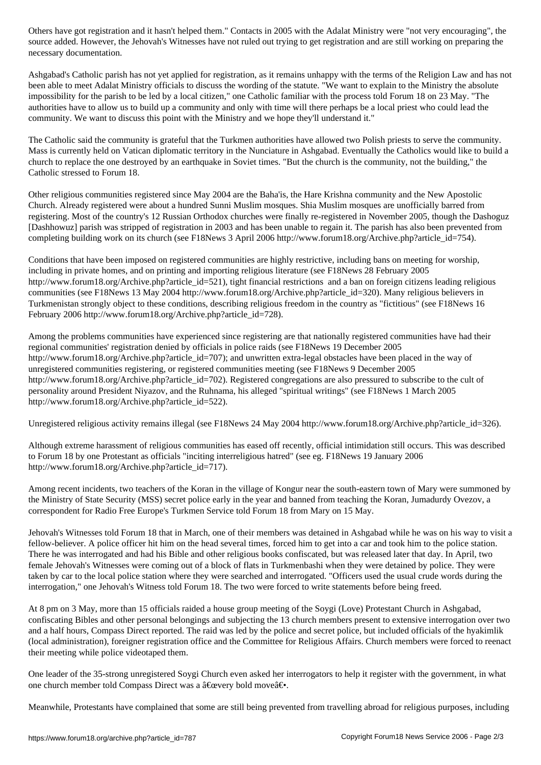necessary documentation.

Ashgabad's Catholic parish has not yet applied for registration, as it remains unhappy with the terms of the Religion Law and has not been able to meet Adalat Ministry officials to discuss the wording of the statute. "We want to explain to the Ministry the absolute impossibility for the parish to be led by a local citizen," one Catholic familiar with the process told Forum 18 on 23 May. "The authorities have to allow us to build up a community and only with time will there perhaps be a local priest who could lead the community. We want to discuss this point with the Ministry and we hope they'll understand it."

The Catholic said the community is grateful that the Turkmen authorities have allowed two Polish priests to serve the community. Mass is currently held on Vatican diplomatic territory in the Nunciature in Ashgabad. Eventually the Catholics would like to build a church to replace the one destroyed by an earthquake in Soviet times. "But the church is the community, not the building," the Catholic stressed to Forum 18.

Other religious communities registered since May 2004 are the Baha'is, the Hare Krishna community and the New Apostolic Church. Already registered were about a hundred Sunni Muslim mosques. Shia Muslim mosques are unofficially barred from registering. Most of the country's 12 Russian Orthodox churches were finally re-registered in November 2005, though the Dashoguz [Dashhowuz] parish was stripped of registration in 2003 and has been unable to regain it. The parish has also been prevented from completing building work on its church (see F18News 3 April 2006 http://www.forum18.org/Archive.php?article\_id=754).

Conditions that have been imposed on registered communities are highly restrictive, including bans on meeting for worship, including in private homes, and on printing and importing religious literature (see F18News 28 February 2005 http://www.forum18.org/Archive.php?article\_id=521), tight financial restrictions and a ban on foreign citizens leading religious communities (see F18News 13 May 2004 http://www.forum18.org/Archive.php?article\_id=320). Many religious believers in Turkmenistan strongly object to these conditions, describing religious freedom in the country as "fictitious" (see F18News 16 February 2006 http://www.forum18.org/Archive.php?article\_id=728).

Among the problems communities have experienced since registering are that nationally registered communities have had their regional communities' registration denied by officials in police raids (see F18News 19 December 2005 http://www.forum18.org/Archive.php?article\_id=707); and unwritten extra-legal obstacles have been placed in the way of unregistered communities registering, or registered communities meeting (see F18News 9 December 2005 http://www.forum18.org/Archive.php?article\_id=702). Registered congregations are also pressured to subscribe to the cult of personality around President Niyazov, and the Ruhnama, his alleged "spiritual writings" (see F18News 1 March 2005 http://www.forum18.org/Archive.php?article\_id=522).

Unregistered religious activity remains illegal (see F18News 24 May 2004 http://www.forum18.org/Archive.php?article\_id=326).

Although extreme harassment of religious communities has eased off recently, official intimidation still occurs. This was described to Forum 18 by one Protestant as officials "inciting interreligious hatred" (see eg. F18News 19 January 2006 http://www.forum18.org/Archive.php?article\_id=717).

Among recent incidents, two teachers of the Koran in the village of Kongur near the south-eastern town of Mary were summoned by the Ministry of State Security (MSS) secret police early in the year and banned from teaching the Koran, Jumadurdy Ovezov, a correspondent for Radio Free Europe's Turkmen Service told Forum 18 from Mary on 15 May.

Jehovah's Witnesses told Forum 18 that in March, one of their members was detained in Ashgabad while he was on his way to visit a fellow-believer. A police officer hit him on the head several times, forced him to get into a car and took him to the police station. There he was interrogated and had his Bible and other religious books confiscated, but was released later that day. In April, two female Jehovah's Witnesses were coming out of a block of flats in Turkmenbashi when they were detained by police. They were taken by car to the local police station where they were searched and interrogated. "Officers used the usual crude words during the interrogation," one Jehovah's Witness told Forum 18. The two were forced to write statements before being freed.

At 8 pm on 3 May, more than 15 officials raided a house group meeting of the Soygi (Love) Protestant Church in Ashgabad, confiscating Bibles and other personal belongings and subjecting the 13 church members present to extensive interrogation over two and a half hours, Compass Direct reported. The raid was led by the police and secret police, but included officials of the hyakimlik (local administration), foreigner registration office and the Committee for Religious Affairs. Church members were forced to reenact their meeting while police videotaped them.

One leader of the 35-strong unregistered Soygi Church even asked her interrogators to help it register with the government, in what one church member told Compass Direct was a  $\hat{a} \in \hat{c}$  were bold move  $\hat{a} \in \cdot$ .

Meanwhile, Protestants have complained that some are still being prevented from travelling abroad for religious purposes, including